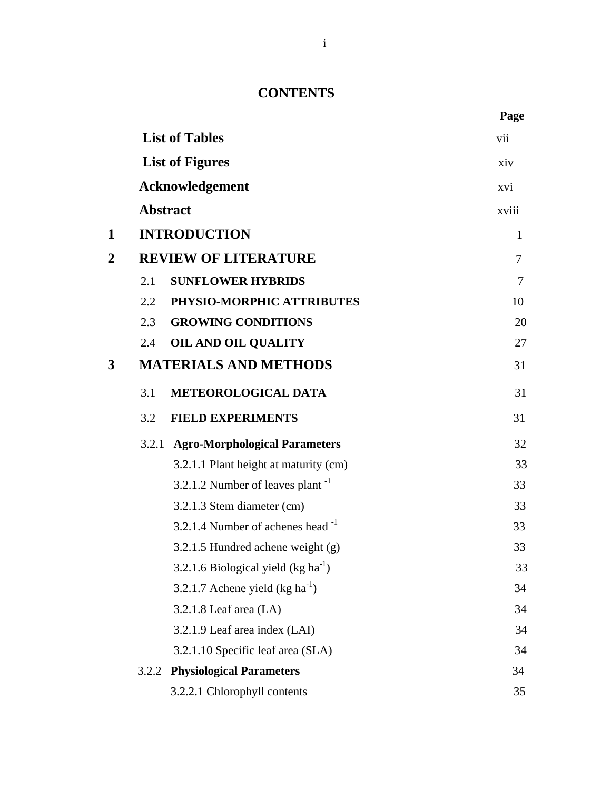## **CONTENTS**

|                |       |                                              | Page         |
|----------------|-------|----------------------------------------------|--------------|
|                |       | <b>List of Tables</b>                        | vii          |
|                |       | <b>List of Figures</b>                       | xiv          |
|                |       | <b>Acknowledgement</b>                       | xvi          |
|                |       | <b>Abstract</b>                              | xviii        |
| 1              |       | <b>INTRODUCTION</b>                          | $\mathbf{1}$ |
| $\overline{2}$ |       | <b>REVIEW OF LITERATURE</b>                  | 7            |
|                | 2.1   | <b>SUNFLOWER HYBRIDS</b>                     | 7            |
|                | 2.2   | PHYSIO-MORPHIC ATTRIBUTES                    | 10           |
|                | 2.3   | <b>GROWING CONDITIONS</b>                    | 20           |
|                | 2.4   | <b>OIL AND OIL QUALITY</b>                   | 27           |
| 3              |       | <b>MATERIALS AND METHODS</b>                 | 31           |
|                | 3.1   | METEOROLOGICAL DATA                          | 31           |
|                | 3.2   | <b>FIELD EXPERIMENTS</b>                     | 31           |
|                |       | 3.2.1 Agro-Morphological Parameters          | 32           |
|                |       | 3.2.1.1 Plant height at maturity (cm)        | 33           |
|                |       | 3.2.1.2 Number of leaves plant <sup>-1</sup> | 33           |
|                |       | 3.2.1.3 Stem diameter (cm)                   | 33           |
|                |       | 3.2.1.4 Number of achenes head $^{-1}$       | 33           |
|                |       | 3.2.1.5 Hundred achene weight $(g)$          | 33           |
|                |       | 3.2.1.6 Biological yield $(kg ha-1)$         | 33           |
|                |       | 3.2.1.7 Achene yield $(kg ha-1)$             | 34           |
|                |       | $3.2.1.8$ Leaf area $(LA)$                   | 34           |
|                |       | 3.2.1.9 Leaf area index (LAI)                | 34           |
|                |       | 3.2.1.10 Specific leaf area (SLA)            | 34           |
|                | 3.2.2 | <b>Physiological Parameters</b>              | 34           |
|                |       | 3.2.2.1 Chlorophyll contents                 | 35           |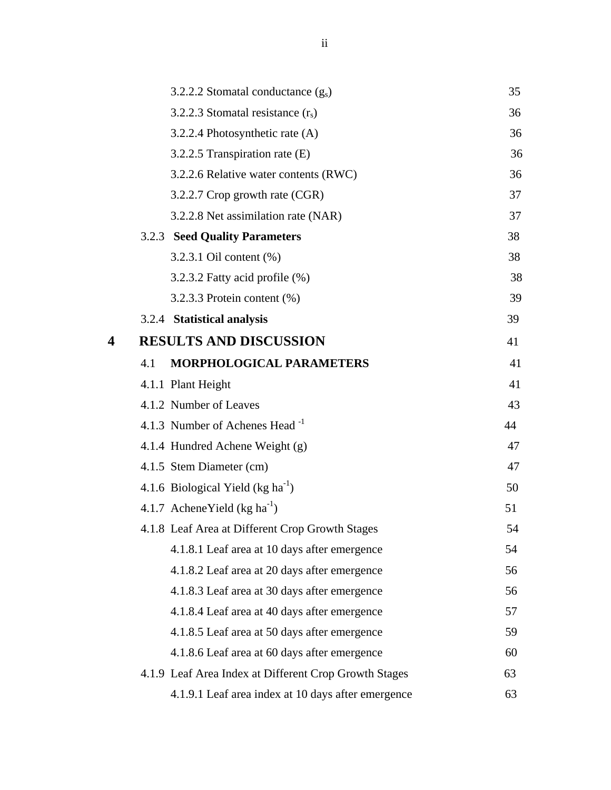|   |     | 3.2.2.2 Stomatal conductance $(g_s)$                  | 35 |
|---|-----|-------------------------------------------------------|----|
|   |     | 3.2.2.3 Stomatal resistance $(r_s)$                   | 36 |
|   |     | 3.2.2.4 Photosynthetic rate (A)                       | 36 |
|   |     | 3.2.2.5 Transpiration rate (E)                        | 36 |
|   |     | 3.2.2.6 Relative water contents (RWC)                 | 36 |
|   |     | 3.2.2.7 Crop growth rate (CGR)                        | 37 |
|   |     | 3.2.2.8 Net assimilation rate (NAR)                   | 37 |
|   |     | <b>3.2.3 Seed Quality Parameters</b>                  | 38 |
|   |     | 3.2.3.1 Oil content (%)                               | 38 |
|   |     | 3.2.3.2 Fatty acid profile (%)                        | 38 |
|   |     | 3.2.3.3 Protein content $(\%)$                        | 39 |
|   |     | 3.2.4 Statistical analysis                            | 39 |
| 4 |     | <b>RESULTS AND DISCUSSION</b>                         | 41 |
|   | 4.1 | MORPHOLOGICAL PARAMETERS                              | 41 |
|   |     | 4.1.1 Plant Height                                    | 41 |
|   |     | 4.1.2 Number of Leaves                                | 43 |
|   |     | 4.1.3 Number of Achenes Head -1                       | 44 |
|   |     | 4.1.4 Hundred Achene Weight (g)                       | 47 |
|   |     | 4.1.5 Stem Diameter (cm)                              | 47 |
|   |     | 4.1.6 Biological Yield ( $kg \text{ ha}^{-1}$ )       | 50 |
|   |     | 4.1.7 Achene Yield $(kg ha^{-1})$                     | 51 |
|   |     | 4.1.8 Leaf Area at Different Crop Growth Stages       | 54 |
|   |     | 4.1.8.1 Leaf area at 10 days after emergence          | 54 |
|   |     | 4.1.8.2 Leaf area at 20 days after emergence          | 56 |
|   |     | 4.1.8.3 Leaf area at 30 days after emergence          | 56 |
|   |     | 4.1.8.4 Leaf area at 40 days after emergence          | 57 |
|   |     | 4.1.8.5 Leaf area at 50 days after emergence          | 59 |
|   |     | 4.1.8.6 Leaf area at 60 days after emergence          | 60 |
|   |     | 4.1.9 Leaf Area Index at Different Crop Growth Stages | 63 |
|   |     | 4.1.9.1 Leaf area index at 10 days after emergence    | 63 |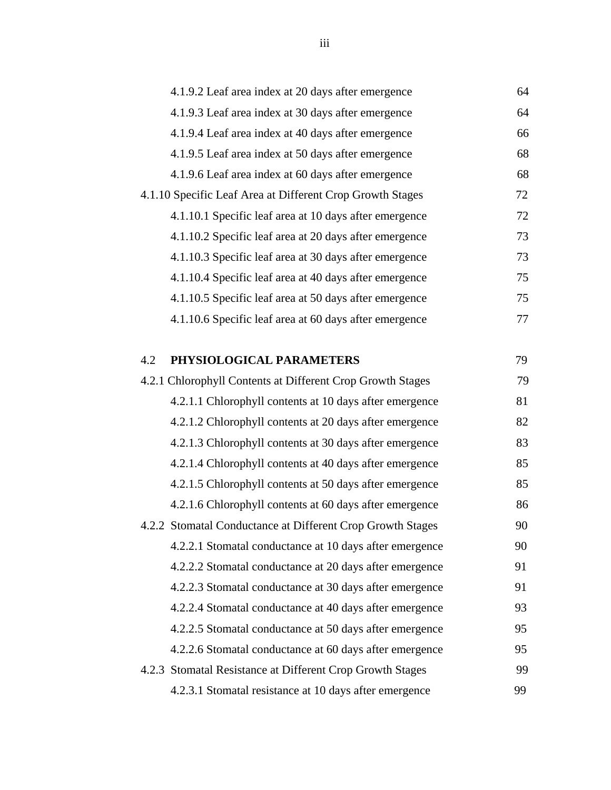| 4.1.9.2 Leaf area index at 20 days after emergence         | 64 |
|------------------------------------------------------------|----|
| 4.1.9.3 Leaf area index at 30 days after emergence         | 64 |
| 4.1.9.4 Leaf area index at 40 days after emergence         | 66 |
| 4.1.9.5 Leaf area index at 50 days after emergence         | 68 |
| 4.1.9.6 Leaf area index at 60 days after emergence         | 68 |
| 4.1.10 Specific Leaf Area at Different Crop Growth Stages  | 72 |
| 4.1.10.1 Specific leaf area at 10 days after emergence     | 72 |
| 4.1.10.2 Specific leaf area at 20 days after emergence     | 73 |
| 4.1.10.3 Specific leaf area at 30 days after emergence     | 73 |
| 4.1.10.4 Specific leaf area at 40 days after emergence     | 75 |
| 4.1.10.5 Specific leaf area at 50 days after emergence     | 75 |
| 4.1.10.6 Specific leaf area at 60 days after emergence     | 77 |
|                                                            |    |
| PHYSIOLOGICAL PARAMETERS<br>4.2                            | 79 |
| 4.2.1 Chlorophyll Contents at Different Crop Growth Stages | 79 |
| 4.2.1.1 Chlorophyll contents at 10 days after emergence    | 81 |
| 4.2.1.2 Chlorophyll contents at 20 days after emergence    | 82 |
| 4.2.1.3 Chlorophyll contents at 30 days after emergence    | 83 |
| 4.2.1.4 Chlorophyll contents at 40 days after emergence    | 85 |
| 4.2.1.5 Chlorophyll contents at 50 days after emergence    | 85 |
| 4.2.1.6 Chlorophyll contents at 60 days after emergence    | 86 |
| 4.2.2 Stomatal Conductance at Different Crop Growth Stages | 90 |
| 4.2.2.1 Stomatal conductance at 10 days after emergence    | 90 |
| 4.2.2.2 Stomatal conductance at 20 days after emergence    | 91 |
| 4.2.2.3 Stomatal conductance at 30 days after emergence    | 91 |
| 4.2.2.4 Stomatal conductance at 40 days after emergence    | 93 |
| 4.2.2.5 Stomatal conductance at 50 days after emergence    | 95 |
| 4.2.2.6 Stomatal conductance at 60 days after emergence    | 95 |
| 4.2.3 Stomatal Resistance at Different Crop Growth Stages  | 99 |
| 4.2.3.1 Stomatal resistance at 10 days after emergence     | 99 |
|                                                            |    |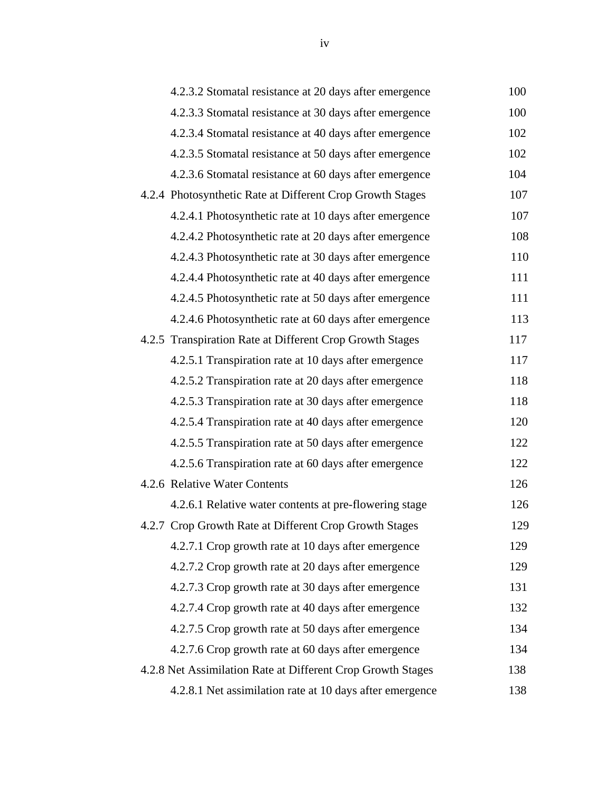| 4.2.3.2 Stomatal resistance at 20 days after emergence      | 100 |
|-------------------------------------------------------------|-----|
| 4.2.3.3 Stomatal resistance at 30 days after emergence      | 100 |
| 4.2.3.4 Stomatal resistance at 40 days after emergence      | 102 |
| 4.2.3.5 Stomatal resistance at 50 days after emergence      | 102 |
| 4.2.3.6 Stomatal resistance at 60 days after emergence      | 104 |
| 4.2.4 Photosynthetic Rate at Different Crop Growth Stages   | 107 |
| 4.2.4.1 Photosynthetic rate at 10 days after emergence      | 107 |
| 4.2.4.2 Photosynthetic rate at 20 days after emergence      | 108 |
| 4.2.4.3 Photosynthetic rate at 30 days after emergence      | 110 |
| 4.2.4.4 Photosynthetic rate at 40 days after emergence      | 111 |
| 4.2.4.5 Photosynthetic rate at 50 days after emergence      | 111 |
| 4.2.4.6 Photosynthetic rate at 60 days after emergence      | 113 |
| 4.2.5 Transpiration Rate at Different Crop Growth Stages    | 117 |
| 4.2.5.1 Transpiration rate at 10 days after emergence       | 117 |
| 4.2.5.2 Transpiration rate at 20 days after emergence       | 118 |
| 4.2.5.3 Transpiration rate at 30 days after emergence       | 118 |
| 4.2.5.4 Transpiration rate at 40 days after emergence       | 120 |
| 4.2.5.5 Transpiration rate at 50 days after emergence       | 122 |
| 4.2.5.6 Transpiration rate at 60 days after emergence       | 122 |
| 4.2.6 Relative Water Contents                               | 126 |
| 4.2.6.1 Relative water contents at pre-flowering stage      | 126 |
| 4.2.7 Crop Growth Rate at Different Crop Growth Stages      | 129 |
| 4.2.7.1 Crop growth rate at 10 days after emergence         | 129 |
| 4.2.7.2 Crop growth rate at 20 days after emergence         | 129 |
| 4.2.7.3 Crop growth rate at 30 days after emergence         | 131 |
| 4.2.7.4 Crop growth rate at 40 days after emergence         | 132 |
| 4.2.7.5 Crop growth rate at 50 days after emergence         | 134 |
| 4.2.7.6 Crop growth rate at 60 days after emergence         | 134 |
| 4.2.8 Net Assimilation Rate at Different Crop Growth Stages | 138 |
| 4.2.8.1 Net assimilation rate at 10 days after emergence    | 138 |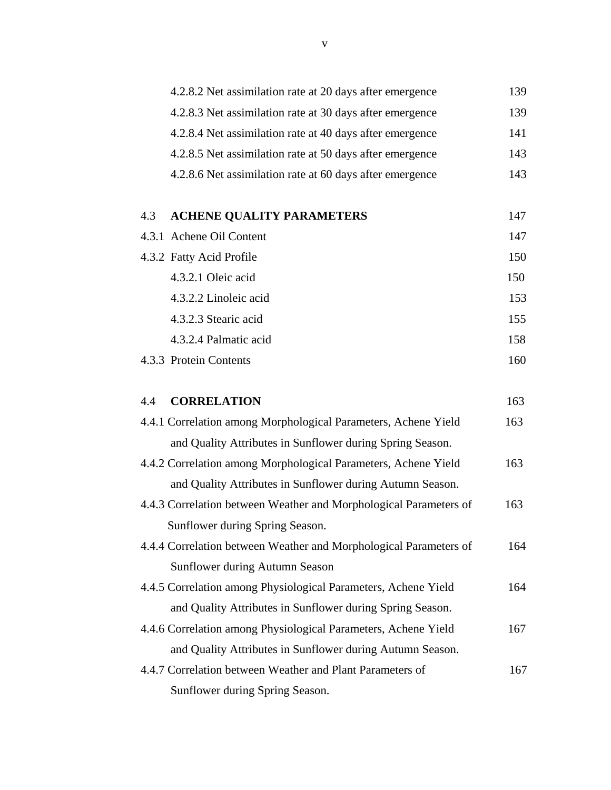| 4.2.8.2 Net assimilation rate at 20 days after emergence          | 139 |
|-------------------------------------------------------------------|-----|
| 4.2.8.3 Net assimilation rate at 30 days after emergence          | 139 |
| 4.2.8.4 Net assimilation rate at 40 days after emergence          | 141 |
| 4.2.8.5 Net assimilation rate at 50 days after emergence          | 143 |
| 4.2.8.6 Net assimilation rate at 60 days after emergence          | 143 |
| <b>ACHENE QUALITY PARAMETERS</b><br>4.3                           | 147 |
| 4.3.1 Achene Oil Content                                          | 147 |
| 4.3.2 Fatty Acid Profile                                          | 150 |
| 4.3.2.1 Oleic acid                                                | 150 |
| 4.3.2.2 Linoleic acid                                             | 153 |
| 4.3.2.3 Stearic acid                                              | 155 |
| 4.3.2.4 Palmatic acid                                             | 158 |
| 4.3.3 Protein Contents                                            | 160 |
| <b>CORRELATION</b><br>4.4                                         | 163 |
| 4.4.1 Correlation among Morphological Parameters, Achene Yield    | 163 |
| and Quality Attributes in Sunflower during Spring Season.         |     |
| 4.4.2 Correlation among Morphological Parameters, Achene Yield    | 163 |
| and Quality Attributes in Sunflower during Autumn Season.         |     |
| 4.4.3 Correlation between Weather and Morphological Parameters of | 163 |
| Sunflower during Spring Season.                                   |     |
| 4.4.4 Correlation between Weather and Morphological Parameters of | 164 |
| Sunflower during Autumn Season                                    |     |
| 4.4.5 Correlation among Physiological Parameters, Achene Yield    | 164 |
| and Quality Attributes in Sunflower during Spring Season.         |     |
| 4.4.6 Correlation among Physiological Parameters, Achene Yield    | 167 |
| and Quality Attributes in Sunflower during Autumn Season.         |     |
| 4.4.7 Correlation between Weather and Plant Parameters of         | 167 |
| Sunflower during Spring Season.                                   |     |